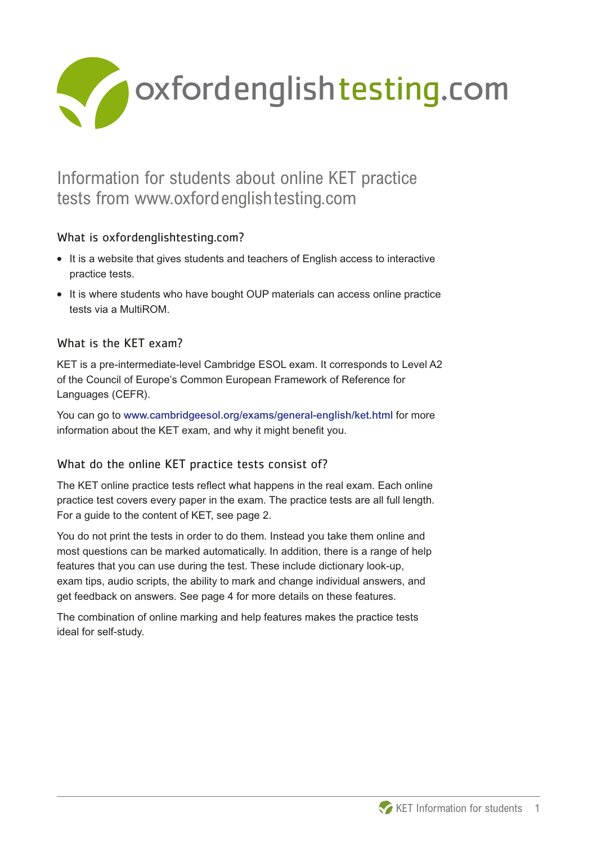

# Information for students about online KET practice tests from www.oxfordenglishtesting.com

## What is oxfordenglishtesting.com?

- **What is oxfordenglishtesting.com?**<br>• It is a website that gives students and teachers of English access to interactive practice tests.
- **•** It is where students who have bought OUP materials can access online practice tests via a MultiROM.

## What is the KET exam?

KET is a pre-intermediate-level Cambridge ESOL exam. It corresponds to Level A2 of the Council of Europe's Common European Framework of Reference for Languages (CEFR).

You can go to www.cambridgeesol.org/exams/general-english/ket.html for more information about the KET exam, and why it might benefit you.

## What do the online KET practice tests consist of?

The KET online practice tests reflect what happens in the real exam. Each online practice test covers every paper in the exam. The practice tests are all full length. For a guide to the content of KET, see page 2.

You do not print the tests in order to do them. Instead you take them online and most questions can be marked automatically. In addition, there is a range of help features that you can use during the test. These include dictionary look-up, exam tips, audio scripts, the ability to mark and change individual answers, and get feedback on answers. See page 4 for more details on these features.

The combination of online marking and help features makes the practice tests ideal for self-study.

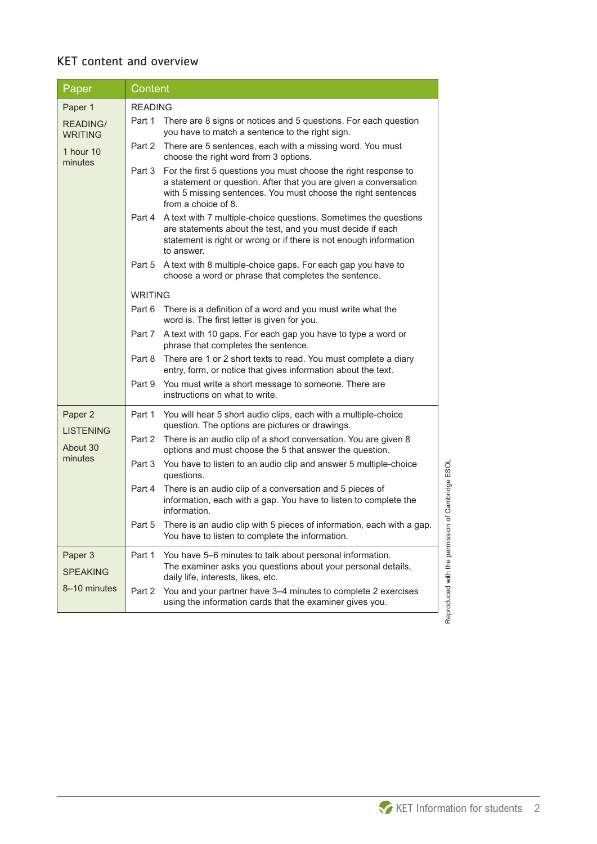## KET content and overview

| Paper                             | Content        |                                                                                                                                                                                                                             |  |
|-----------------------------------|----------------|-----------------------------------------------------------------------------------------------------------------------------------------------------------------------------------------------------------------------------|--|
| Paper 1                           | <b>READING</b> |                                                                                                                                                                                                                             |  |
| <b>READING/</b><br><b>WRITING</b> | Part 1         | There are 8 signs or notices and 5 questions. For each question<br>you have to match a sentence to the right sign.                                                                                                          |  |
| 1 hour 10<br>minutes              | Part 2         | There are 5 sentences, each with a missing word. You must<br>choose the right word from 3 options.                                                                                                                          |  |
|                                   | Part 3         | For the first 5 questions you must choose the right response to<br>a statement or question. After that you are given a conversation<br>with 5 missing sentences. You must choose the right sentences<br>from a choice of 8. |  |
|                                   | Part 4         | A text with 7 multiple-choice questions. Sometimes the questions<br>are statements about the test, and you must decide if each<br>statement is right or wrong or if there is not enough information<br>to answer.           |  |
|                                   | Part 5         | A text with 8 multiple-choice gaps. For each gap you have to<br>choose a word or phrase that completes the sentence.                                                                                                        |  |
|                                   | <b>WRITING</b> |                                                                                                                                                                                                                             |  |
|                                   | Part 6         | There is a definition of a word and you must write what the<br>word is. The first letter is given for you.                                                                                                                  |  |
|                                   | Part 7         | A text with 10 gaps. For each gap you have to type a word or<br>phrase that completes the sentence.                                                                                                                         |  |
|                                   | Part 8         | There are 1 or 2 short texts to read. You must complete a diary<br>entry, form, or notice that gives information about the text.                                                                                            |  |
|                                   | Part 9         | You must write a short message to someone. There are<br>instructions on what to write.                                                                                                                                      |  |
| Paper 2<br><b>LISTENING</b>       | Part 1         | You will hear 5 short audio clips, each with a multiple-choice<br>question. The options are pictures or drawings.                                                                                                           |  |
| About 30                          | Part 2         | There is an audio clip of a short conversation. You are given 8<br>options and must choose the 5 that answer the question.                                                                                                  |  |
| minutes                           | Part 3         | You have to listen to an audio clip and answer 5 multiple-choice<br>questions.                                                                                                                                              |  |
|                                   | Part 4         | There is an audio clip of a conversation and 5 pieces of<br>information, each with a gap. You have to listen to complete the<br>information.                                                                                |  |
|                                   | Part 5         | There is an audio clip with 5 pieces of information, each with a gap.<br>You have to listen to complete the information.                                                                                                    |  |
| Paper 3<br><b>SPEAKING</b>        | Part 1         | You have 5–6 minutes to talk about personal information.<br>The examiner asks you questions about your personal details,<br>daily life, interests, likes, etc.                                                              |  |
| 8-10 minutes                      | Part 2         | You and your partner have 3-4 minutes to complete 2 exercises<br>using the information cards that the examiner gives you.                                                                                                   |  |



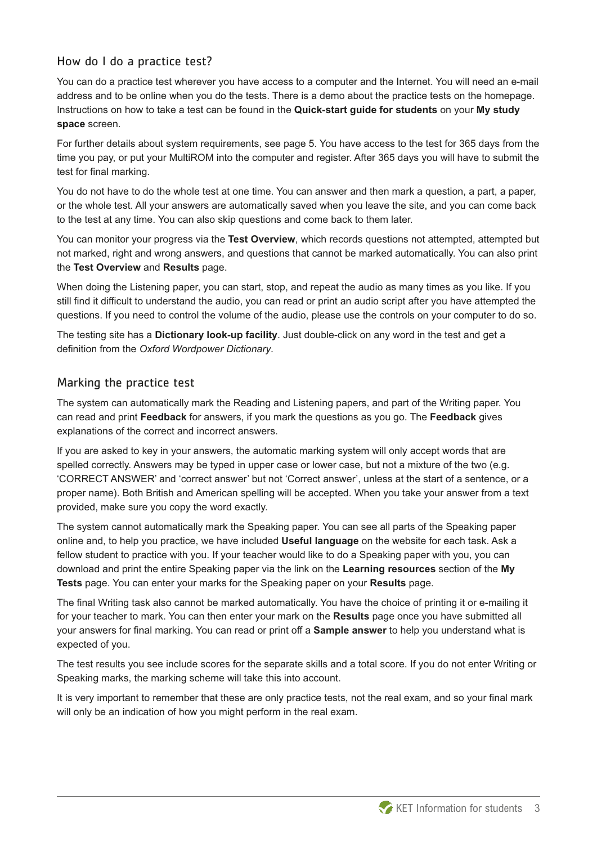#### How do I do a practice test?

You can do a practice test wherever you have access to a computer and the Internet. You will need an e-mail address and to be online when you do the tests. There is a demo about the practice tests on the homepage. Instructions on how to take a test can be found in the **Quick-start guide for students** on your **My study space** screen.

For further details about system requirements, see page 5. You have access to the test for 365 days from the time you pay, or put your MultiROM into the computer and register. After 365 days you will have to submit the test for final marking.

You do not have to do the whole test at one time. You can answer and then mark a question, a part, a paper, or the whole test. All your answers are automatically saved when you leave the site, and you can come back to the test at any time. You can also skip questions and come back to them later.

You can monitor your progress via the **Test Overview**, which records questions not attempted, attempted but not marked, right and wrong answers, and questions that cannot be marked automatically. You can also print the **Test Overview** and **Results** page.

When doing the Listening paper, you can start, stop, and repeat the audio as many times as you like. If you still find it difficult to understand the audio, you can read or print an audio script after you have attempted the questions. If you need to control the volume of the audio, please use the controls on your computer to do so.

The testing site has a **Dictionary look-up facility**. Just double-click on any word in the test and get a definition from the *Oxford Wordpower Dictionary*.

#### Marking the practice test

The system can automatically mark the Reading and Listening papers, and part of the Writing paper. You can read and print **Feedback** for answers, if you mark the questions as you go. The **Feedback** gives explanations of the correct and incorrect answers.

If you are asked to key in your answers, the automatic marking system will only accept words that are spelled correctly. Answers may be typed in upper case or lower case, but not a mixture of the two (e.g. 'CORRECT ANSWER' and 'correct answer' but not 'Correct answer', unless at the start of a sentence, or a proper name). Both British and American spelling will be accepted. When you take your answer from a text provided, make sure you copy the word exactly.

The system cannot automatically mark the Speaking paper. You can see all parts of the Speaking paper online and, to help you practice, we have included **Useful language** on the website for each task. Ask a fellow student to practice with you. If your teacher would like to do a Speaking paper with you, you can download and print the entire Speaking paper via the link on the **Learning resources** section of the **My Tests** page. You can enter your marks for the Speaking paper on your **Results** page.

The final Writing task also cannot be marked automatically. You have the choice of printing it or e-mailing it for your teacher to mark. You can then enter your mark on the **Results** page once you have submitted all your answers for final marking. You can read or print off a **Sample answer** to help you understand what is expected of you.

The test results you see include scores for the separate skills and a total score. If you do not enter Writing or Speaking marks, the marking scheme will take this into account.

It is very important to remember that these are only practice tests, not the real exam, and so your final mark will only be an indication of how you might perform in the real exam.

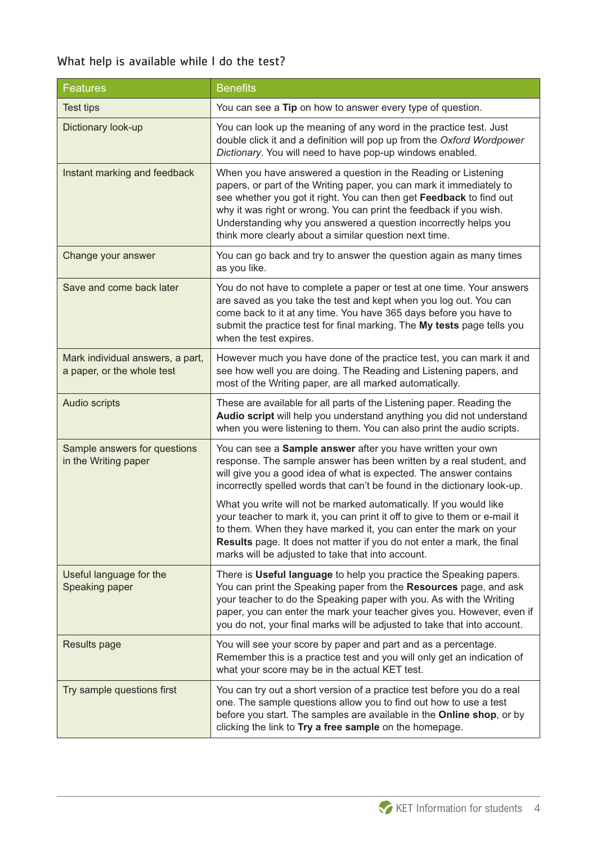## What help is available while I do the test?

| <b>Features</b>                                                | <b>Benefits</b>                                                                                                                                                                                                                                                                                                                                                                                                                          |
|----------------------------------------------------------------|------------------------------------------------------------------------------------------------------------------------------------------------------------------------------------------------------------------------------------------------------------------------------------------------------------------------------------------------------------------------------------------------------------------------------------------|
| <b>Test tips</b>                                               | You can see a Tip on how to answer every type of question.                                                                                                                                                                                                                                                                                                                                                                               |
| Dictionary look-up                                             | You can look up the meaning of any word in the practice test. Just<br>double click it and a definition will pop up from the Oxford Wordpower<br>Dictionary. You will need to have pop-up windows enabled.                                                                                                                                                                                                                                |
| Instant marking and feedback                                   | When you have answered a question in the Reading or Listening<br>papers, or part of the Writing paper, you can mark it immediately to<br>see whether you got it right. You can then get Feedback to find out<br>why it was right or wrong. You can print the feedback if you wish.<br>Understanding why you answered a question incorrectly helps you<br>think more clearly about a similar question next time.                          |
| Change your answer                                             | You can go back and try to answer the question again as many times<br>as you like.                                                                                                                                                                                                                                                                                                                                                       |
| Save and come back later                                       | You do not have to complete a paper or test at one time. Your answers<br>are saved as you take the test and kept when you log out. You can<br>come back to it at any time. You have 365 days before you have to<br>submit the practice test for final marking. The My tests page tells you<br>when the test expires.                                                                                                                     |
| Mark individual answers, a part,<br>a paper, or the whole test | However much you have done of the practice test, you can mark it and<br>see how well you are doing. The Reading and Listening papers, and<br>most of the Writing paper, are all marked automatically.                                                                                                                                                                                                                                    |
| Audio scripts                                                  | These are available for all parts of the Listening paper. Reading the<br>Audio script will help you understand anything you did not understand<br>when you were listening to them. You can also print the audio scripts.                                                                                                                                                                                                                 |
| Sample answers for questions<br>in the Writing paper           | You can see a Sample answer after you have written your own<br>response. The sample answer has been written by a real student, and<br>will give you a good idea of what is expected. The answer contains<br>incorrectly spelled words that can't be found in the dictionary look-up.<br>What you write will not be marked automatically. If you would like<br>your teacher to mark it, you can print it off to give to them or e-mail it |
|                                                                | to them. When they have marked it, you can enter the mark on your<br>Results page. It does not matter if you do not enter a mark, the final<br>marks will be adjusted to take that into account.                                                                                                                                                                                                                                         |
| Useful language for the<br>Speaking paper                      | There is Useful language to help you practice the Speaking papers.<br>You can print the Speaking paper from the Resources page, and ask<br>your teacher to do the Speaking paper with you. As with the Writing<br>paper, you can enter the mark your teacher gives you. However, even if<br>you do not, your final marks will be adjusted to take that into account.                                                                     |
| Results page                                                   | You will see your score by paper and part and as a percentage.<br>Remember this is a practice test and you will only get an indication of<br>what your score may be in the actual KET test.                                                                                                                                                                                                                                              |
| Try sample questions first                                     | You can try out a short version of a practice test before you do a real<br>one. The sample questions allow you to find out how to use a test<br>before you start. The samples are available in the Online shop, or by<br>clicking the link to Try a free sample on the homepage.                                                                                                                                                         |